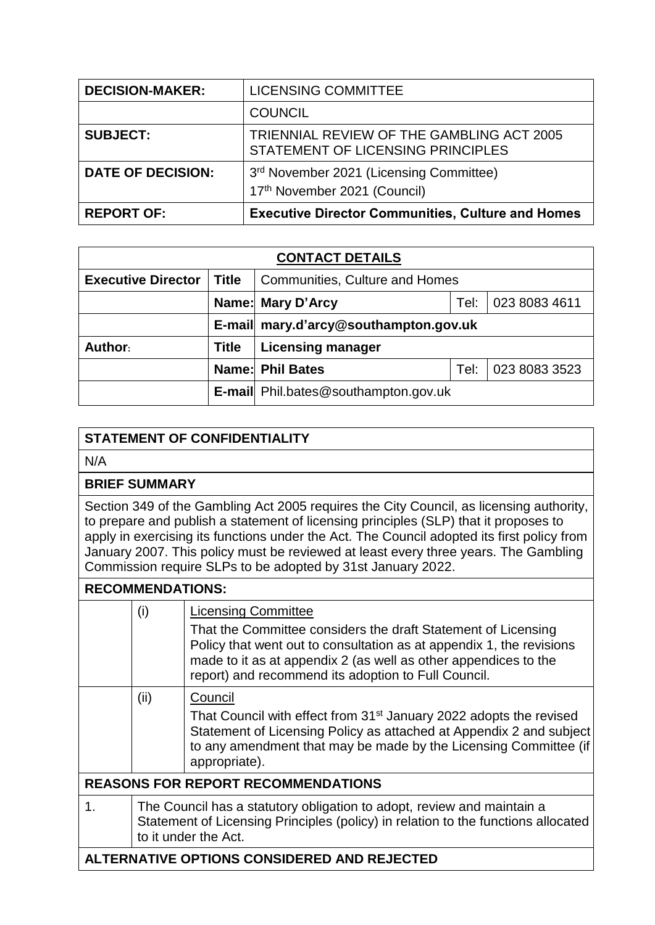| <b>DECISION-MAKER:</b>   | <b>LICENSING COMMITTEE</b>                                                     |
|--------------------------|--------------------------------------------------------------------------------|
|                          | <b>COUNCIL</b>                                                                 |
| <b>SUBJECT:</b>          | TRIENNIAL REVIEW OF THE GAMBLING ACT 2005<br>STATEMENT OF LICENSING PRINCIPLES |
| <b>DATE OF DECISION:</b> | 3rd November 2021 (Licensing Committee)<br>17th November 2021 (Council)        |
| <b>REPORT OF:</b>        | <b>Executive Director Communities, Culture and Homes</b>                       |

| <b>CONTACT DETAILS</b>    |              |                                             |  |               |  |
|---------------------------|--------------|---------------------------------------------|--|---------------|--|
| <b>Executive Director</b> | Title        | <b>Communities, Culture and Homes</b>       |  |               |  |
|                           |              | 023 8083 4611<br>Name: Mary D'Arcy<br>Tel:  |  |               |  |
|                           |              | E-mail mary.d'arcy@southampton.gov.uk       |  |               |  |
| Author:                   | <b>Title</b> | <b>Licensing manager</b>                    |  |               |  |
|                           |              | <b>Name: Phil Bates</b><br>Tel:             |  | 023 8083 3523 |  |
|                           |              | <b>E-mail</b> Phil.bates@southampton.gov.uk |  |               |  |

## **STATEMENT OF CONFIDENTIALITY**

N/A

## **BRIEF SUMMARY**

Section 349 of the Gambling Act 2005 requires the City Council, as licensing authority, to prepare and publish a statement of licensing principles (SLP) that it proposes to apply in exercising its functions under the Act. The Council adopted its first policy from January 2007. This policy must be reviewed at least every three years. The Gambling Commission require SLPs to be adopted by 31st January 2022.

## **RECOMMENDATIONS:**

|                                             | (i)                                                                                                                                                                                 | <b>Licensing Committee</b><br>That the Committee considers the draft Statement of Licensing<br>Policy that went out to consultation as at appendix 1, the revisions<br>made to it as at appendix 2 (as well as other appendices to the<br>report) and recommend its adoption to Full Council. |  |  |
|---------------------------------------------|-------------------------------------------------------------------------------------------------------------------------------------------------------------------------------------|-----------------------------------------------------------------------------------------------------------------------------------------------------------------------------------------------------------------------------------------------------------------------------------------------|--|--|
|                                             | (ii)                                                                                                                                                                                | Council<br>That Council with effect from 31 <sup>st</sup> January 2022 adopts the revised<br>Statement of Licensing Policy as attached at Appendix 2 and subject<br>to any amendment that may be made by the Licensing Committee (if<br>appropriate).                                         |  |  |
| <b>REASONS FOR REPORT RECOMMENDATIONS</b>   |                                                                                                                                                                                     |                                                                                                                                                                                                                                                                                               |  |  |
| $\mathbf 1$ .                               | The Council has a statutory obligation to adopt, review and maintain a<br>Statement of Licensing Principles (policy) in relation to the functions allocated<br>to it under the Act. |                                                                                                                                                                                                                                                                                               |  |  |
| ALTERNATIVE OPTIONS CONSIDERED AND REJECTED |                                                                                                                                                                                     |                                                                                                                                                                                                                                                                                               |  |  |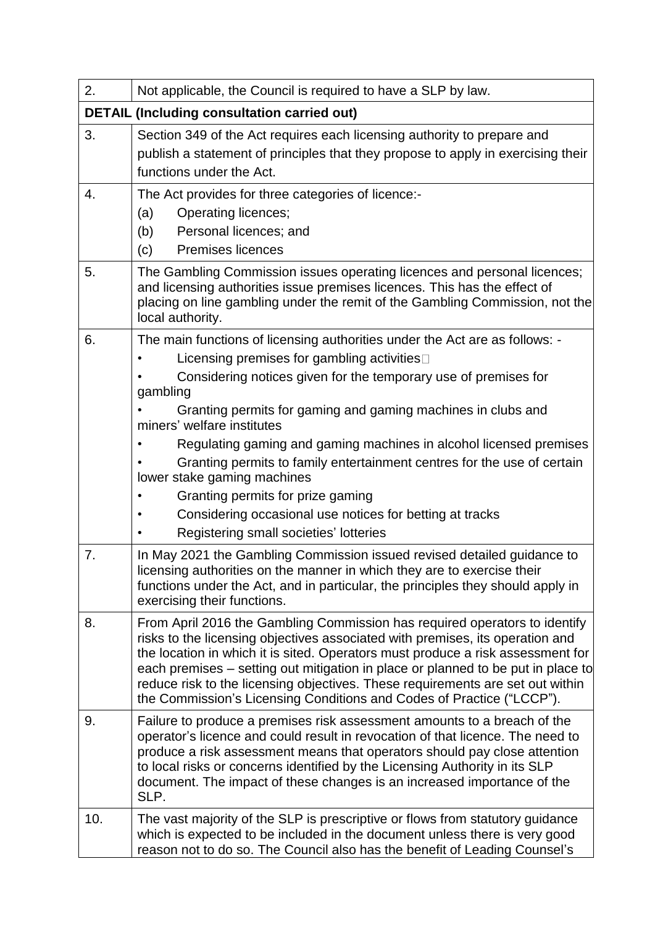| 2.  | Not applicable, the Council is required to have a SLP by law.                                                                                                                                                                                                                                                                                                                                                                                                                                                                                                                                                                     |  |  |  |
|-----|-----------------------------------------------------------------------------------------------------------------------------------------------------------------------------------------------------------------------------------------------------------------------------------------------------------------------------------------------------------------------------------------------------------------------------------------------------------------------------------------------------------------------------------------------------------------------------------------------------------------------------------|--|--|--|
|     | <b>DETAIL (Including consultation carried out)</b>                                                                                                                                                                                                                                                                                                                                                                                                                                                                                                                                                                                |  |  |  |
| 3.  | Section 349 of the Act requires each licensing authority to prepare and<br>publish a statement of principles that they propose to apply in exercising their<br>functions under the Act.                                                                                                                                                                                                                                                                                                                                                                                                                                           |  |  |  |
| 4.  | The Act provides for three categories of licence:-<br><b>Operating licences;</b><br>(a)<br>Personal licences; and<br>(b)<br><b>Premises licences</b><br>(c)                                                                                                                                                                                                                                                                                                                                                                                                                                                                       |  |  |  |
| 5.  | The Gambling Commission issues operating licences and personal licences;<br>and licensing authorities issue premises licences. This has the effect of<br>placing on line gambling under the remit of the Gambling Commission, not the<br>local authority.                                                                                                                                                                                                                                                                                                                                                                         |  |  |  |
| 6.  | The main functions of licensing authorities under the Act are as follows: -<br>Licensing premises for gambling activities<br>Considering notices given for the temporary use of premises for<br>gambling<br>Granting permits for gaming and gaming machines in clubs and<br>miners' welfare institutes<br>Regulating gaming and gaming machines in alcohol licensed premises<br>Granting permits to family entertainment centres for the use of certain<br>lower stake gaming machines<br>Granting permits for prize gaming<br>Considering occasional use notices for betting at tracks<br>Registering small societies' lotteries |  |  |  |
| 7.  | In May 2021 the Gambling Commission issued revised detailed guidance to<br>licensing authorities on the manner in which they are to exercise their<br>functions under the Act, and in particular, the principles they should apply in<br>exercising their functions.                                                                                                                                                                                                                                                                                                                                                              |  |  |  |
| 8.  | From April 2016 the Gambling Commission has required operators to identify<br>risks to the licensing objectives associated with premises, its operation and<br>the location in which it is sited. Operators must produce a risk assessment for<br>each premises – setting out mitigation in place or planned to be put in place to<br>reduce risk to the licensing objectives. These requirements are set out within<br>the Commission's Licensing Conditions and Codes of Practice ("LCCP").                                                                                                                                     |  |  |  |
| 9.  | Failure to produce a premises risk assessment amounts to a breach of the<br>operator's licence and could result in revocation of that licence. The need to<br>produce a risk assessment means that operators should pay close attention<br>to local risks or concerns identified by the Licensing Authority in its SLP<br>document. The impact of these changes is an increased importance of the<br>SLP.                                                                                                                                                                                                                         |  |  |  |
| 10. | The vast majority of the SLP is prescriptive or flows from statutory guidance<br>which is expected to be included in the document unless there is very good<br>reason not to do so. The Council also has the benefit of Leading Counsel's                                                                                                                                                                                                                                                                                                                                                                                         |  |  |  |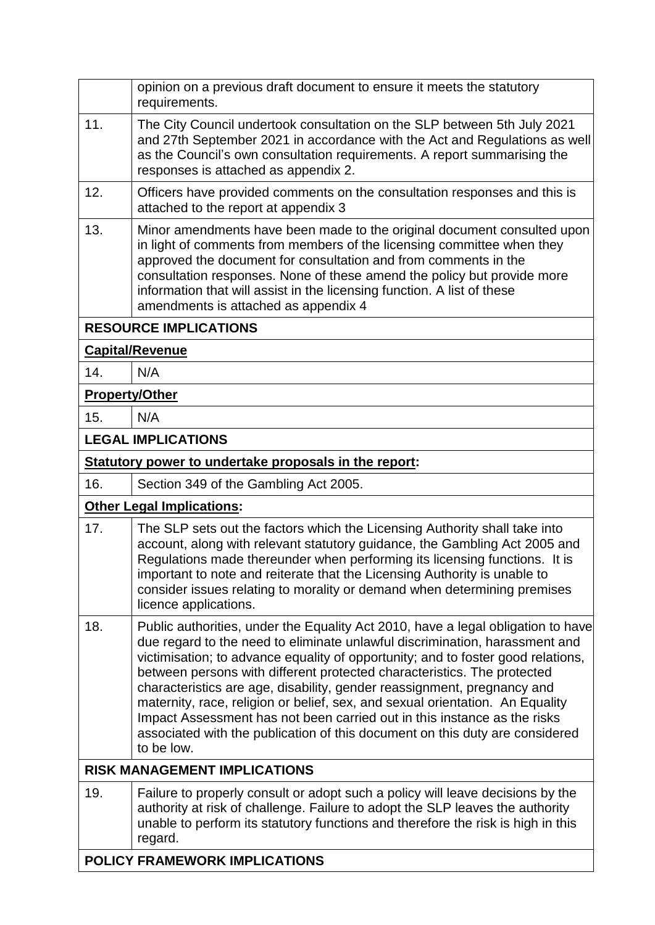|                                     | opinion on a previous draft document to ensure it meets the statutory<br>requirements.                                                                                                                                                                                                                                                                                                                                                                                                                                                                                                                                                                               |  |  |
|-------------------------------------|----------------------------------------------------------------------------------------------------------------------------------------------------------------------------------------------------------------------------------------------------------------------------------------------------------------------------------------------------------------------------------------------------------------------------------------------------------------------------------------------------------------------------------------------------------------------------------------------------------------------------------------------------------------------|--|--|
| 11.                                 | The City Council undertook consultation on the SLP between 5th July 2021<br>and 27th September 2021 in accordance with the Act and Regulations as well<br>as the Council's own consultation requirements. A report summarising the<br>responses is attached as appendix 2.                                                                                                                                                                                                                                                                                                                                                                                           |  |  |
| 12.                                 | Officers have provided comments on the consultation responses and this is<br>attached to the report at appendix 3                                                                                                                                                                                                                                                                                                                                                                                                                                                                                                                                                    |  |  |
| 13.                                 | Minor amendments have been made to the original document consulted upon<br>in light of comments from members of the licensing committee when they<br>approved the document for consultation and from comments in the<br>consultation responses. None of these amend the policy but provide more<br>information that will assist in the licensing function. A list of these<br>amendments is attached as appendix 4                                                                                                                                                                                                                                                   |  |  |
|                                     | <b>RESOURCE IMPLICATIONS</b>                                                                                                                                                                                                                                                                                                                                                                                                                                                                                                                                                                                                                                         |  |  |
|                                     | <b>Capital/Revenue</b>                                                                                                                                                                                                                                                                                                                                                                                                                                                                                                                                                                                                                                               |  |  |
| 14.                                 | N/A                                                                                                                                                                                                                                                                                                                                                                                                                                                                                                                                                                                                                                                                  |  |  |
| <b>Property/Other</b>               |                                                                                                                                                                                                                                                                                                                                                                                                                                                                                                                                                                                                                                                                      |  |  |
| 15.                                 | N/A                                                                                                                                                                                                                                                                                                                                                                                                                                                                                                                                                                                                                                                                  |  |  |
|                                     | <b>LEGAL IMPLICATIONS</b>                                                                                                                                                                                                                                                                                                                                                                                                                                                                                                                                                                                                                                            |  |  |
|                                     | Statutory power to undertake proposals in the report:                                                                                                                                                                                                                                                                                                                                                                                                                                                                                                                                                                                                                |  |  |
| 16.                                 | Section 349 of the Gambling Act 2005.                                                                                                                                                                                                                                                                                                                                                                                                                                                                                                                                                                                                                                |  |  |
|                                     | <b>Other Legal Implications:</b>                                                                                                                                                                                                                                                                                                                                                                                                                                                                                                                                                                                                                                     |  |  |
| 17.                                 | The SLP sets out the factors which the Licensing Authority shall take into<br>account, along with relevant statutory guidance, the Gambling Act 2005 and<br>Regulations made thereunder when performing its licensing functions. It is<br>important to note and reiterate that the Licensing Authority is unable to<br>consider issues relating to morality or demand when determining premises<br>licence applications.                                                                                                                                                                                                                                             |  |  |
| 18.                                 | Public authorities, under the Equality Act 2010, have a legal obligation to have<br>due regard to the need to eliminate unlawful discrimination, harassment and<br>victimisation; to advance equality of opportunity; and to foster good relations,<br>between persons with different protected characteristics. The protected<br>characteristics are age, disability, gender reassignment, pregnancy and<br>maternity, race, religion or belief, sex, and sexual orientation. An Equality<br>Impact Assessment has not been carried out in this instance as the risks<br>associated with the publication of this document on this duty are considered<br>to be low. |  |  |
| <b>RISK MANAGEMENT IMPLICATIONS</b> |                                                                                                                                                                                                                                                                                                                                                                                                                                                                                                                                                                                                                                                                      |  |  |
| 19.                                 | Failure to properly consult or adopt such a policy will leave decisions by the<br>authority at risk of challenge. Failure to adopt the SLP leaves the authority<br>unable to perform its statutory functions and therefore the risk is high in this<br>regard.                                                                                                                                                                                                                                                                                                                                                                                                       |  |  |
|                                     | <b>POLICY FRAMEWORK IMPLICATIONS</b>                                                                                                                                                                                                                                                                                                                                                                                                                                                                                                                                                                                                                                 |  |  |